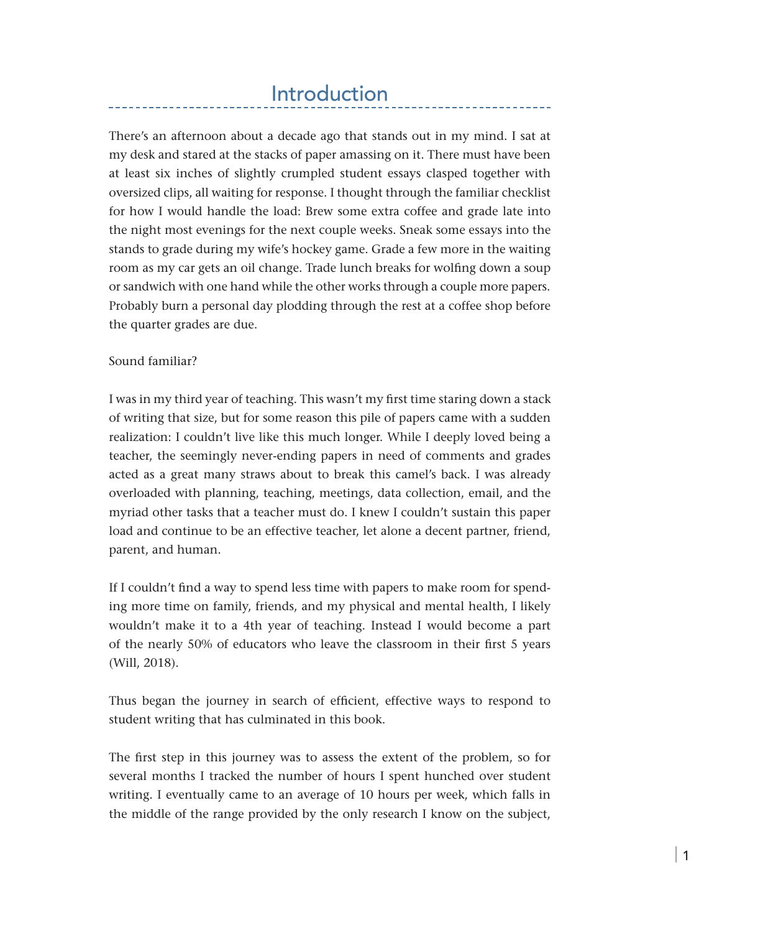# Introduction

There's an afternoon about a decade ago that stands out in my mind. I sat at my desk and stared at the stacks of paper amassing on it. There must have been at least six inches of slightly crumpled student essays clasped together with oversized clips, all waiting for response. I thought through the familiar checklist for how I would handle the load: Brew some extra coffee and grade late into the night most evenings for the next couple weeks. Sneak some essays into the stands to grade during my wife's hockey game. Grade a few more in the waiting room as my car gets an oil change. Trade lunch breaks for wolfing down a soup or sandwich with one hand while the other works through a couple more papers. Probably burn a personal day plodding through the rest at a coffee shop before the quarter grades are due.

#### Sound familiar?

I was in my third year of teaching. This wasn't my first time staring down a stack of writing that size, but for some reason this pile of papers came with a sudden realization: I couldn't live like this much longer. While I deeply loved being a teacher, the seemingly never-ending papers in need of comments and grades acted as a great many straws about to break this camel's back. I was already overloaded with planning, teaching, meetings, data collection, email, and the myriad other tasks that a teacher must do. I knew I couldn't sustain this paper load and continue to be an effective teacher, let alone a decent partner, friend, parent, and human.

If I couldn't find a way to spend less time with papers to make room for spending more time on family, friends, and my physical and mental health, I likely wouldn't make it to a 4th year of teaching. Instead I would become a part of the nearly 50% of educators who leave the classroom in their first 5 years (Will, 2018).

Thus began the journey in search of efficient, effective ways to respond to student writing that has culminated in this book.

The first step in this journey was to assess the extent of the problem, so for several months I tracked the number of hours I spent hunched over student writing. I eventually came to an average of 10 hours per week, which falls in the middle of the range provided by the only research I know on the subject,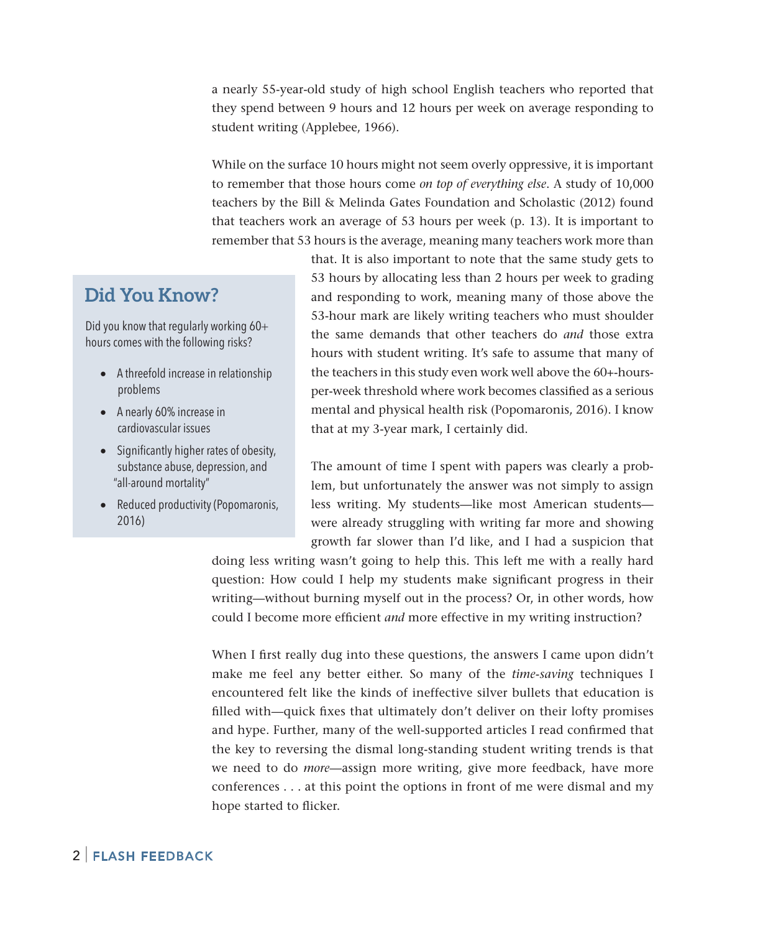a nearly 55-year-old study of high school English teachers who reported that they spend between 9 hours and 12 hours per week on average responding to student writing (Applebee, 1966).

While on the surface 10 hours might not seem overly oppressive, it is important to remember that those hours come *on top of everything else*. A study of 10,000 teachers by the Bill & Melinda Gates Foundation and Scholastic (2012) found that teachers work an average of 53 hours per week (p. 13). It is important to remember that 53 hours is the average, meaning many teachers work more than

### **Did You Know?**

Did you know that regularly working 60+ hours comes with the following risks?

- A threefold increase in relationship problems
- A nearly 60% increase in cardiovascular issues
- • Significantly higher rates of obesity, substance abuse, depression, and "all-around mortality"
- Reduced productivity (Popomaronis, 2016)

that. It is also important to note that the same study gets to 53 hours by allocating less than 2 hours per week to grading and responding to work, meaning many of those above the 53-hour mark are likely writing teachers who must shoulder the same demands that other teachers do *and* those extra hours with student writing. It's safe to assume that many of the teachers in this study even work well above the 60+-hoursper-week threshold where work becomes classified as a serious mental and physical health risk (Popomaronis, 2016). I know that at my 3-year mark, I certainly did.

The amount of time I spent with papers was clearly a problem, but unfortunately the answer was not simply to assign less writing. My students—like most American students were already struggling with writing far more and showing growth far slower than I'd like, and I had a suspicion that

doing less writing wasn't going to help this. This left me with a really hard question: How could I help my students make significant progress in their writing—without burning myself out in the process? Or, in other words, how could I become more efficient *and* more effective in my writing instruction?

When I first really dug into these questions, the answers I came upon didn't make me feel any better either. So many of the *time-saving* techniques I encountered felt like the kinds of ineffective silver bullets that education is filled with—quick fixes that ultimately don't deliver on their lofty promises and hype. Further, many of the well-supported articles I read confirmed that the key to reversing the dismal long-standing student writing trends is that we need to do *more*—assign more writing, give more feedback, have more conferences . . . at this point the options in front of me were dismal and my hope started to flicker.

#### 2 | Flash Feedback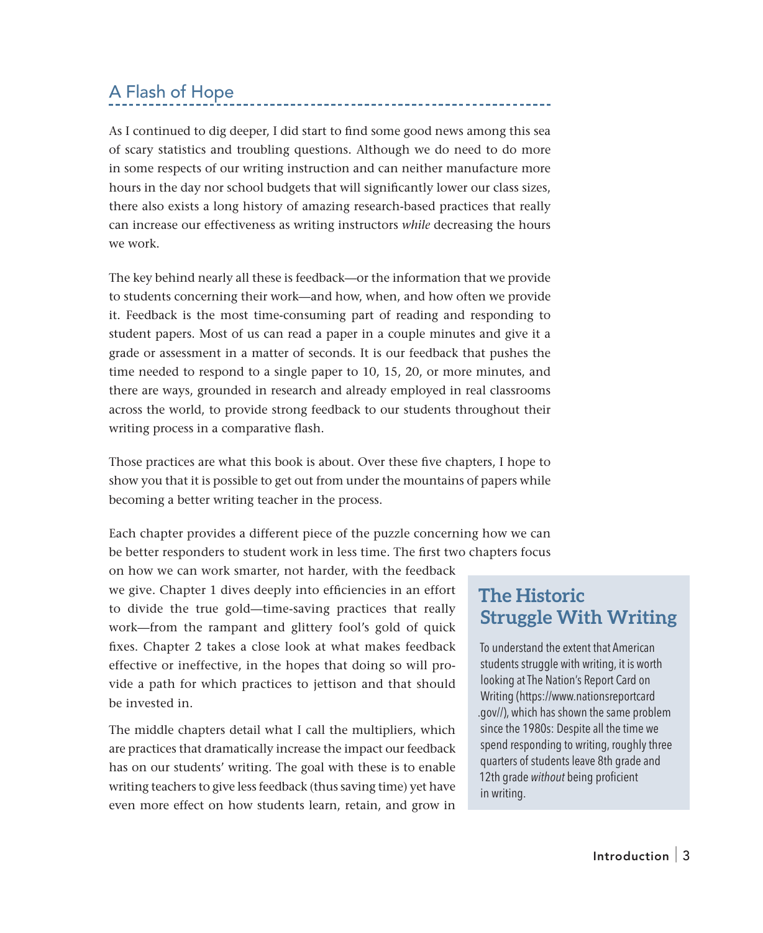## A Flash of Hope

As I continued to dig deeper, I did start to find some good news among this sea of scary statistics and troubling questions. Although we do need to do more in some respects of our writing instruction and can neither manufacture more hours in the day nor school budgets that will significantly lower our class sizes, there also exists a long history of amazing research-based practices that really can increase our effectiveness as writing instructors *while* decreasing the hours we work.

The key behind nearly all these is feedback—or the information that we provide to students concerning their work—and how, when, and how often we provide it. Feedback is the most time-consuming part of reading and responding to student papers. Most of us can read a paper in a couple minutes and give it a grade or assessment in a matter of seconds. It is our feedback that pushes the time needed to respond to a single paper to 10, 15, 20, or more minutes, and there are ways, grounded in research and already employed in real classrooms across the world, to provide strong feedback to our students throughout their writing process in a comparative flash.

Those practices are what this book is about. Over these five chapters, I hope to show you that it is possible to get out from under the mountains of papers while becoming a better writing teacher in the process.

Each chapter provides a different piece of the puzzle concerning how we can be better responders to student work in less time. The first two chapters focus

on how we can work smarter, not harder, with the feedback we give. Chapter 1 dives deeply into efficiencies in an effort to divide the true gold—time-saving practices that really work—from the rampant and glittery fool's gold of quick fixes. Chapter 2 takes a close look at what makes feedback effective or ineffective, in the hopes that doing so will provide a path for which practices to jettison and that should be invested in.

The middle chapters detail what I call the multipliers, which are practices that dramatically increase the impact our feedback has on our students' writing. The goal with these is to enable writing teachers to give less feedback (thus saving time) yet have even more effect on how students learn, retain, and grow in

## **The Historic Struggle With Writing**

To understand the extent that American students struggle with writing, it is worth looking at The Nation's Report Card on Writing (https://www.nationsreportcard .gov//), which has shown the same problem since the 1980s: Despite all the time we spend responding to writing, roughly three quarters of students leave 8th grade and 12th grade *without* being proficient in writing.